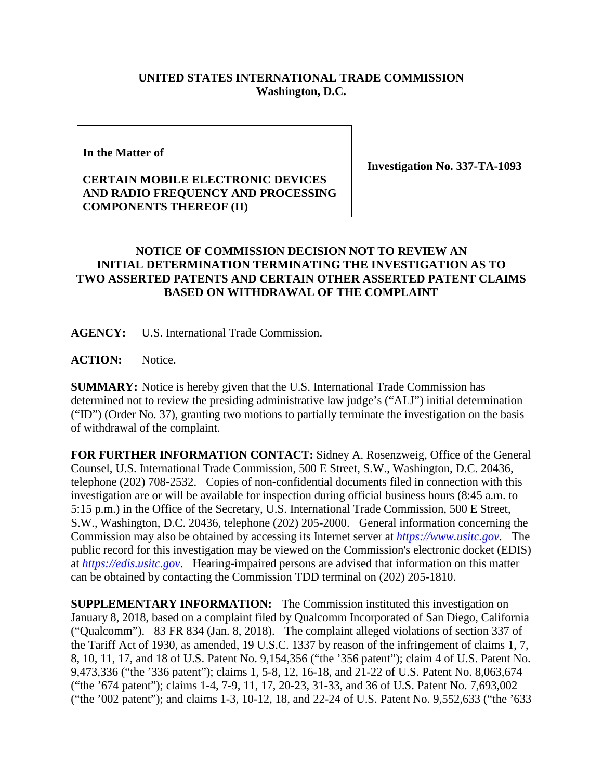## **UNITED STATES INTERNATIONAL TRADE COMMISSION Washington, D.C.**

**In the Matter of**

## **CERTAIN MOBILE ELECTRONIC DEVICES AND RADIO FREQUENCY AND PROCESSING COMPONENTS THEREOF (II)**

**Investigation No. 337-TA-1093**

## **NOTICE OF COMMISSION DECISION NOT TO REVIEW AN INITIAL DETERMINATION TERMINATING THE INVESTIGATION AS TO TWO ASSERTED PATENTS AND CERTAIN OTHER ASSERTED PATENT CLAIMS BASED ON WITHDRAWAL OF THE COMPLAINT**

**AGENCY:** U.S. International Trade Commission.

**ACTION:** Notice.

**SUMMARY:** Notice is hereby given that the U.S. International Trade Commission has determined not to review the presiding administrative law judge's ("ALJ") initial determination ("ID") (Order No. 37), granting two motions to partially terminate the investigation on the basis of withdrawal of the complaint.

**FOR FURTHER INFORMATION CONTACT:** Sidney A. Rosenzweig, Office of the General Counsel, U.S. International Trade Commission, 500 E Street, S.W., Washington, D.C. 20436, telephone (202) 708-2532. Copies of non-confidential documents filed in connection with this investigation are or will be available for inspection during official business hours (8:45 a.m. to 5:15 p.m.) in the Office of the Secretary, U.S. International Trade Commission, 500 E Street, S.W., Washington, D.C. 20436, telephone (202) 205-2000. General information concerning the Commission may also be obtained by accessing its Internet server at *[https://www.usitc.gov](https://www.usitc.gov/)*. The public record for this investigation may be viewed on the Commission's electronic docket (EDIS) at *[https://edis.usitc.gov](https://edis.usitc.gov/)*. Hearing-impaired persons are advised that information on this matter can be obtained by contacting the Commission TDD terminal on (202) 205-1810.

**SUPPLEMENTARY INFORMATION:** The Commission instituted this investigation on January 8, 2018, based on a complaint filed by Qualcomm Incorporated of San Diego, California ("Qualcomm"). 83 FR 834 (Jan. 8, 2018). The complaint alleged violations of section 337 of the Tariff Act of 1930, as amended, 19 U.S.C. 1337 by reason of the infringement of claims 1, 7, 8, 10, 11, 17, and 18 of U.S. Patent No. 9,154,356 ("the '356 patent"); claim 4 of U.S. Patent No. 9,473,336 ("the '336 patent"); claims 1, 5-8, 12, 16-18, and 21-22 of U.S. Patent No. 8,063,674 ("the '674 patent"); claims 1-4, 7-9, 11, 17, 20-23, 31-33, and 36 of U.S. Patent No. 7,693,002 ("the '002 patent"); and claims 1-3, 10-12, 18, and 22-24 of U.S. Patent No. 9,552,633 ("the '633